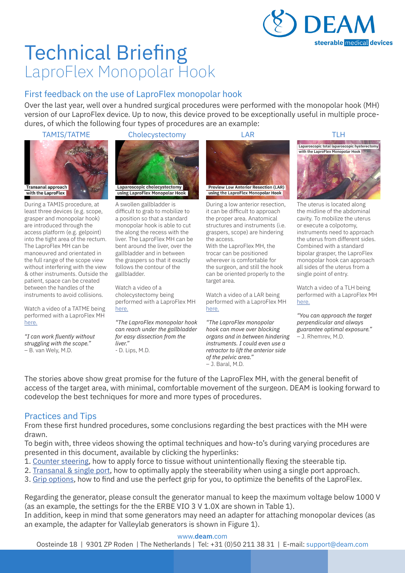

# Technical Briefing LaproFlex Monopolar Hook

# First feedback on the use of LaproFlex monopolar hook

Over the last year, well over a hundred surgical procedures were performed with the monopolar hook (MH) version of our LaproFlex device. Up to now, this device proved to be exceptionally useful in multiple procedures, of which the following four types of procedures are an example:



During a TAMIS procedure, at least three devices (e.g. scope, grasper and monopolar hook) are introduced through the access platform (e.g. gelpoint) into the tight area of the rectum. The LaproFlex MH can be manoeuvred and orientated in the full range of the scope view without interfering with the view & other instruments. Outside the patient, space can be created between the handles of the instruments to avoid collisions.

Watch a video of a TATME being performed with a LaproFlex MH here.

*"I can work fluently without struggling with the scope."* – B. van Wely, M.D.

#### TAMIS/TATME Cholecystectomy LAR TLH



A swollen gallbladder is difficult to grab to mobilize to a position so that a standard monopolar hook is able to cut the along the recess with the liver. The LaproFlex MH can be bent around the liver, over the gallbladder and in between the graspers so that it exactly follows the contour of the gallbladder.

Watch a video of a cholecystectomy being performed with a LaproFlex MH here.

*"The LaproFlex monopolar hook can reach under the gallbladder for easy dissection from the liver."* - D. Lips, M.D.



During a low anterior resection, it can be difficult to approach the proper area. Anatomical structures and instruments (i.e. graspers, scope) are hindering the access.

With the LaproFlex MH, the trocar can be positioned wherever is comfortable for the surgeon, and still the hook can be oriented properly to the target area.

Watch a video of a LAR being performed with a LaproFlex MH here.

*"The LaproFlex monopolar hook can move over blocking organs and in between hindering instruments. I could even use a retractor to lift the anterior side of the pelvic area."* – J. Baral, M.D.



The uterus is located along the midline of the abdominal cavity. To mobilize the uterus or execute a colpotomy, instruments need to approach the uterus from different sides. Combined with a standard bipolar grasper, the LaproFlex monopolar hook can approach all sides of the uterus from a single point of entry.

Watch a video of a TLH being performed with a LaproFlex MH here.

*"You can approach the target perpendicular and always guarantee optimal exposure."* – J. Rhemrev, M.D.

The stories above show great promise for the future of the LaproFlex MH, with the general benefit of access of the target area, with minimal, comfortable movement of the surgeon. DEAM is looking forward to codevelop the best techniques for more and more types of procedures.

## Practices and Tips

From these first hundred procedures, some conclusions regarding the best practices with the MH were drawn.

To begin with, three videos showing the optimal techniques and how-to's during varying procedures are presented in this document, available by clicking the hyperlinks:

- 1. Counter steering, how to apply force to tissue without unintentionally flexing the steerable tip.
- 2. Transanal & single port, how to optimally apply the steerability when using a single port approach.
- 3. Grip options, how to find and use the perfect grip for you, to optimize the benefits of the LaproFlex.

Regarding the generator, please consult the generator manual to keep the maximum voltage below 1000 V (as an example, the settings for the the ERBE VIO 3 V 1.0X are shown in Table 1).

In addition, keep in mind that some generators may need an adapter for attaching monopolar devices (as an example, the adapter for Valleylab generators is shown in Figure 1).

#### www.**deam**.com

Oosteinde 18 | 9301 ZP Roden | The Netherlands | Tel: +31 (0)50 211 38 31 | E-mail: support@deam.com